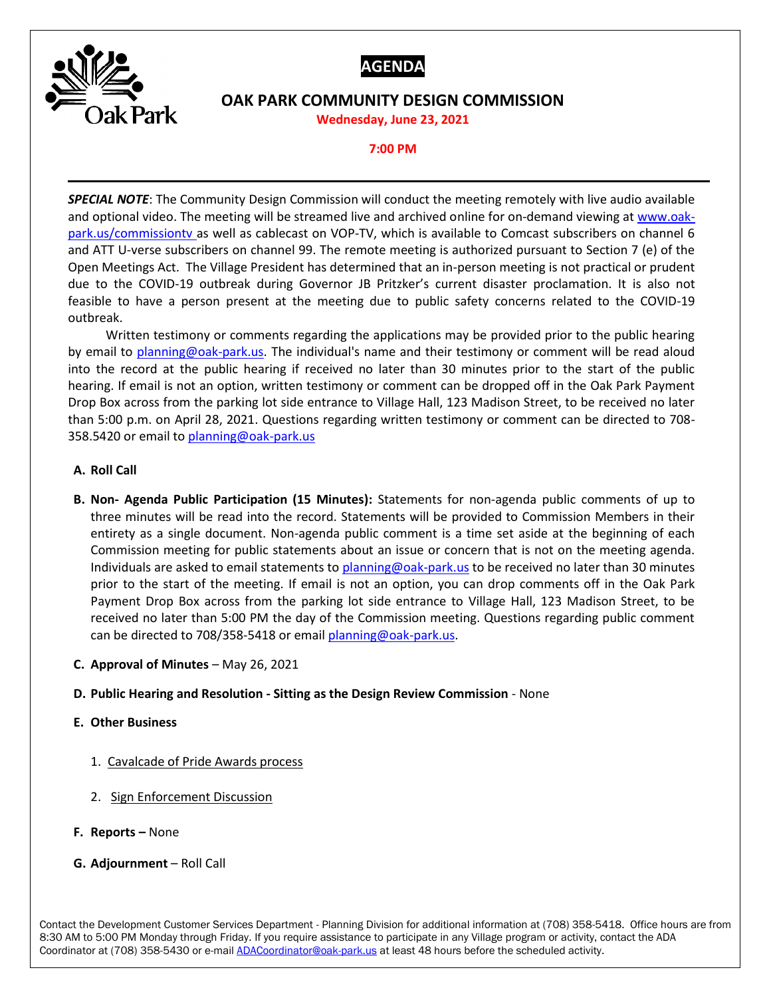



## **OAK PARK COMMUNITY DESIGN COMMISSION**

**Wednesday, June 23, 2021**

## **7:00 PM**

*SPECIAL NOTE*: The Community Design Commission will conduct the meeting remotely with live audio available and optional video. The meeting will be streamed live and archived online for on-demand viewing at [www.oak](http://www.oak-park.us/commissiontv)[park.us/commissiontv](http://www.oak-park.us/commissiontv) as well as cablecast on VOP-TV, which is available to Comcast subscribers on channel 6 and ATT U-verse subscribers on channel 99. The remote meeting is authorized pursuant to Section 7 (e) of the Open Meetings Act. The Village President has determined that an in-person meeting is not practical or prudent due to the COVID-19 outbreak during Governor JB Pritzker's current disaster proclamation. It is also not feasible to have a person present at the meeting due to public safety concerns related to the COVID-19 outbreak.

Written testimony or comments regarding the applications may be provided prior to the public hearing by email to [planning@oak-park.us.](mailto:planning@oak-park.us) The individual's name and their testimony or comment will be read aloud into the record at the public hearing if received no later than 30 minutes prior to the start of the public hearing. If email is not an option, written testimony or comment can be dropped off in the Oak Park Payment Drop Box across from the parking lot side entrance to Village Hall, 123 Madison Street, to be received no later than 5:00 p.m. on April 28, 2021. Questions regarding written testimony or comment can be directed to 708 358.5420 or email t[o planning@oak-park.us](mailto:planning@oak-park.us)

## **A. Roll Call**

- **B. Non- Agenda Public Participation (15 Minutes):** Statements for non-agenda public comments of up to three minutes will be read into the record. Statements will be provided to Commission Members in their entirety as a single document. Non-agenda public comment is a time set aside at the beginning of each Commission meeting for public statements about an issue or concern that is not on the meeting agenda. Individuals are asked to email statements to [planning@oak-park.us](mailto:planning@oak-park.us) to be received no later than 30 minutes prior to the start of the meeting. If email is not an option, you can drop comments off in the Oak Park Payment Drop Box across from the parking lot side entrance to Village Hall, 123 Madison Street, to be received no later than 5:00 PM the day of the Commission meeting. Questions regarding public comment can be directed to 708/358-5418 or emai[l planning@oak-park.us.](mailto:planning@oak-park.us)
- **C. Approval of Minutes** May 26, 2021
- **D. Public Hearing and Resolution - Sitting as the Design Review Commission** None

## **E. Other Business**

- 1. Cavalcade of Pride Awards process
- 2. Sign Enforcement Discussion
- **F. Reports –** None
- **G. Adjournment** Roll Call

Contact the Development Customer Services Department - Planning Division for additional information at (708) 358-5418. Office hours are from 8:30 AM to 5:00 PM Monday through Friday. If you require assistance to participate in any Village program or activity, contact the ADA Coordinator at (708) 358-5430 or e-mail **ADACoordinator@oak-park.us** at least 48 hours before the scheduled activity.